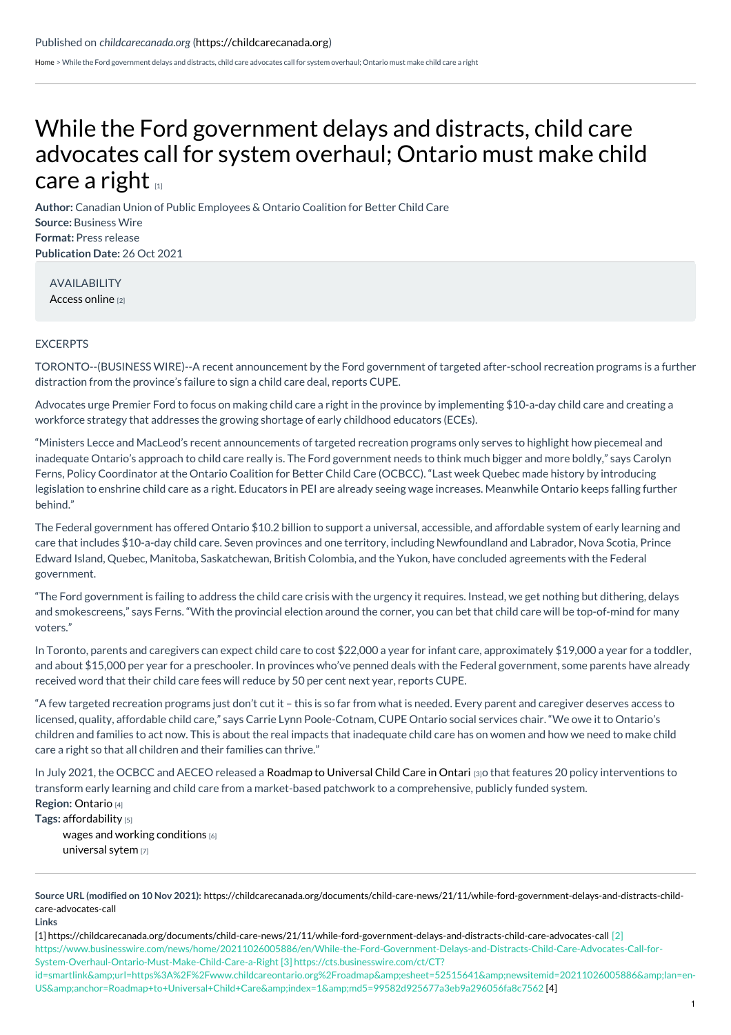[Home](https://childcarecanada.org/) > While the Ford government delays and distracts, child care advocates call for system overhaul; Ontario must make child care a right

## While the Ford [government](https://childcarecanada.org/documents/child-care-news/21/11/while-ford-government-delays-and-distracts-child-care-advocates-call) delays and distracts, child care advocates call for system overhaul; Ontario must make child care a right  $\mathbf{u}$

**Author:** Canadian Union of Public Employees & Ontario Coalition for Better Child Care **Source:** Business Wire **Format:** Press release **Publication Date:** 26 Oct 2021

AVAILABILITY [Access](https://www.businesswire.com/news/home/20211026005886/en/While-the-Ford-Government-Delays-and-Distracts-Child-Care-Advocates-Call-for-System-Overhaul-Ontario-Must-Make-Child-Care-a-Right) online [2]

## EXCERPTS

TORONTO--(BUSINESS WIRE)--A recent announcement by the Ford government of targeted after-school recreation programs is a further distraction from the province's failure to sign a child care deal, reports CUPE.

Advocates urge Premier Ford to focus on making child care a right in the province by implementing \$10-a-day child care and creating a workforce strategy that addresses the growing shortage of early childhood educators (ECEs).

"Ministers Lecce and MacLeod's recent announcements of targeted recreation programs only serves to highlight how piecemeal and inadequate Ontario's approach to child care really is. The Ford government needs to think much bigger and more boldly," says Carolyn Ferns, Policy Coordinator at the Ontario Coalition for Better Child Care (OCBCC). "Last week Quebec made history by introducing legislation to enshrine child care as a right. Educators in PEI are already seeing wage increases. Meanwhile Ontario keeps falling further behind."

The Federal government has offered Ontario \$10.2 billion to support a universal, accessible, and affordable system of early learning and care that includes \$10-a-day child care. Seven provinces and one territory, including Newfoundland and Labrador, Nova Scotia, Prince Edward Island, Quebec, Manitoba, Saskatchewan, British Colombia, and the Yukon, have concluded agreements with the Federal government.

"The Ford government is failing to address the child care crisis with the urgency it requires. Instead, we get nothing but dithering, delays and smokescreens," says Ferns. "With the provincial election around the corner, you can bet that child care will be top-of-mind for many voters."

In Toronto, parents and caregivers can expect child care to cost \$22,000 a year for infant care, approximately \$19,000 a year for a toddler, and about \$15,000 per year for a preschooler. In provinces who've penned deals with the Federal government, some parents have already received word that their child care fees will reduce by 50 per cent next year, reports CUPE.

"A few targeted recreation programs just don't cut it – this is so far from what is needed. Every parent and caregiver deserves access to licensed, quality, affordable child care," says Carrie Lynn Poole-Cotnam, CUPE Ontario social services chair. "We owe it to Ontario's children and families to act now. This is about the real impacts that inadequate child care has on women and how we need to make child care a right so that all children and their families can thrive."

**Region:** [Ontario](https://childcarecanada.org/taxonomy/term/7856) [4] In July 2021, the OCBCC and AECEO released a Roadmap to [Universal](https://cts.businesswire.com/ct/CT?id=smartlink&url=https%253A%252F%252Fwww.childcareontario.org%252Froadmap&esheet=52515641&newsitemid=20211026005886&lan=en-US&anchor=Roadmap+to+Universal+Child+Care&index=1&md5=99582d925677a3eb9a296056fa8c7562) Child Care in Ontari [3]o that features 20 policy interventions to transform early learning and child care from a market-based patchwork to a comprehensive, publicly funded system.

**Tags:** [affordability](https://childcarecanada.org/category/tags/affordability) [5]

wages and working [conditions](https://childcarecanada.org/taxonomy/term/9175) [6] [universal](https://childcarecanada.org/taxonomy/term/9194) sytem [7]

[1] <https://childcarecanada.org/documents/child-care-news/21/11/while-ford-government-delays-and-distracts-child-care-advocates-call> [2] https://www.businesswire.com/news/home/20211026005886/en/While-the-Ford-Government-Delays-and-Distracts-Child-Care-Advocates-Call-for-System-Overhaul-Ontario-Must-Make-Child-Care-a-Right [3] https://cts.businesswire.com/ct/CT? id=smartlink&url=https%3A%2F%2Fwww.childcareontario.org%2Froadmap&esheet=52515641&newsitemid=20211026005886&lan=en-

[US&anchor=Roadmap+to+Universal+Child+Care&index=1&md5=99582d925677a3eb9a296056fa8c7562](https://childcarecanada.org/taxonomy/term/7856) [4]

**Source URL (modified on 10 Nov 2021):** [https://childcarecanada.org/documents/child-care-news/21/11/while-ford-government-delays-and-distracts-child](https://childcarecanada.org/documents/child-care-news/21/11/while-ford-government-delays-and-distracts-child-care-advocates-call)care-advocates-call

**Links**